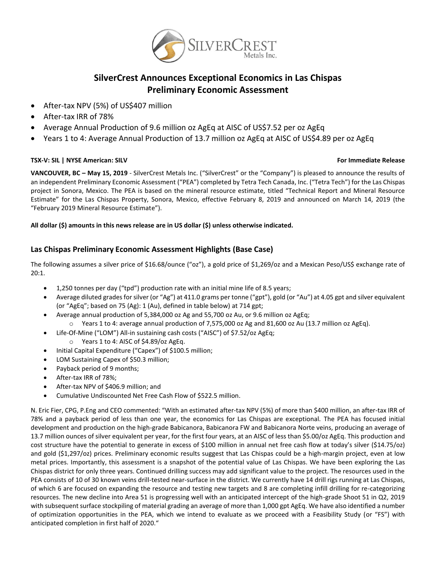

# **SilverCrest Announces Exceptional Economics in Las Chispas Preliminary Economic Assessment**

- After-tax NPV (5%) of US\$407 million
- After-tax IRR of 78%
- Average Annual Production of 9.6 million oz AgEq at AISC of US\$7.52 per oz AgEq
- Years 1 to 4: Average Annual Production of 13.7 million oz AgEq at AISC of US\$4.89 per oz AgEq

#### **TSX-V: SIL | NYSE American: SILV For Immediate Release**

**VANCOUVER, BC – May 15, 2019** - SilverCrest Metals Inc. ("SilverCrest" or the "Company") is pleased to announce the results of an independent Preliminary Economic Assessment ("PEA") completed by Tetra Tech Canada, Inc. ("Tetra Tech") for the Las Chispas project in Sonora, Mexico. The PEA is based on the mineral resource estimate, titled "Technical Report and Mineral Resource Estimate" for the Las Chispas Property, Sonora, Mexico, effective February 8, 2019 and announced on March 14, 2019 (the "February 2019 Mineral Resource Estimate").

#### **All dollar (\$) amounts in this news release are in US dollar (\$) unless otherwise indicated.**

## **Las Chispas Preliminary Economic Assessment Highlights (Base Case)**

The following assumes a silver price of \$16.68/ounce ("oz"), a gold price of \$1,269/oz and a Mexican Peso/US\$ exchange rate of 20:1.

- 1,250 tonnes per day ("tpd") production rate with an initial mine life of 8.5 years;
- Average diluted grades forsilver (or "Ag") at 411.0 grams per tonne ("gpt"), gold (or "Au") at 4.05 gpt and silver equivalent (or "AgEq"; based on 75 (Ag): 1 (Au), defined in table below) at 714 gpt;
- Average annual production of 5,384,000 oz Ag and 55,700 oz Au, or 9.6 million oz AgEq;
	- $\circ$  Years 1 to 4: average annual production of 7,575,000 oz Ag and 81,600 oz Au (13.7 million oz AgEq).
- Life-Of-Mine ("LOM") All-in sustaining cash costs ("AISC") of \$7.52/oz AgEq;
	- o Years 1 to 4: AISC of \$4.89/oz AgEq.
- Initial Capital Expenditure ("Capex") of \$100.5 million;
- LOM Sustaining Capex of \$50.3 million;
- Payback period of 9 months;
- After-tax IRR of 78%;
- After-tax NPV of \$406.9 million; and
- Cumulative Undiscounted Net Free Cash Flow of \$522.5 million.

N. Eric Fier, CPG, P.Eng and CEO commented: "With an estimated after-tax NPV (5%) of more than \$400 million, an after-tax IRR of 78% and a payback period of less than one year, the economics for Las Chispas are exceptional. The PEA has focused initial development and production on the high-grade Babicanora, Babicanora FW and Babicanora Norte veins, producing an average of 13.7 million ounces of silver equivalent per year, for the first four years, at an AISC of less than \$5.00/oz AgEq. This production and cost structure have the potential to generate in excess of \$100 million in annual net free cash flow at today's silver (\$14.75/oz) and gold (\$1,297/oz) prices. Preliminary economic results suggest that Las Chispas could be a high-margin project, even at low metal prices. Importantly, this assessment is a snapshot of the potential value of Las Chispas. We have been exploring the Las Chispas district for only three years. Continued drilling success may add significant value to the project. The resources used in the PEA consists of 10 of 30 known veins drill-tested near-surface in the district. We currently have 14 drill rigs running at Las Chispas, of which 6 are focused on expanding the resource and testing new targets and 8 are completing infill drilling for re-categorizing resources. The new decline into Area 51 is progressing well with an anticipated intercept of the high-grade Shoot 51 in Q2, 2019 with subsequent surface stockpiling of material grading an average of more than 1,000 gpt AgEq. We have also identified a number of optimization opportunities in the PEA, which we intend to evaluate as we proceed with a Feasibility Study (or "FS") with anticipated completion in first half of 2020."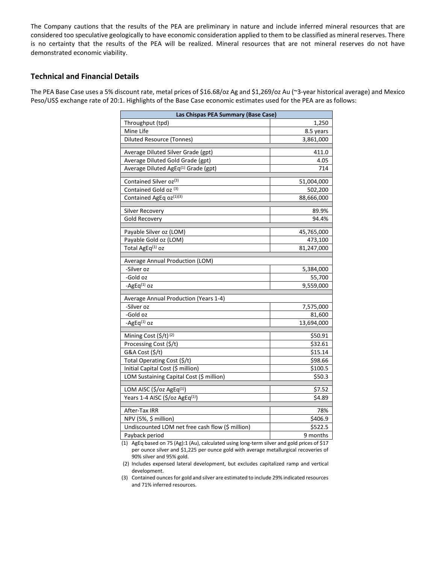The Company cautions that the results of the PEA are preliminary in nature and include inferred mineral resources that are considered too speculative geologically to have economic consideration applied to them to be classified as mineral reserves. There is no certainty that the results of the PEA will be realized. Mineral resources that are not mineral reserves do not have demonstrated economic viability.

#### **Technical and Financial Details**

The PEA Base Case uses a 5% discount rate, metal prices of \$16.68/oz Ag and \$1,269/oz Au (~3-year historical average) and Mexico Peso/US\$ exchange rate of 20:1. Highlights of the Base Case economic estimates used for the PEA are as follows:

| Las Chispas PEA Summary (Base Case)                         |                    |  |  |  |  |  |  |
|-------------------------------------------------------------|--------------------|--|--|--|--|--|--|
| Throughput (tpd)                                            | 1,250              |  |  |  |  |  |  |
| Mine Life                                                   | 8.5 years          |  |  |  |  |  |  |
| <b>Diluted Resource (Tonnes)</b>                            | 3,861,000          |  |  |  |  |  |  |
| Average Diluted Silver Grade (gpt)                          | 411.0              |  |  |  |  |  |  |
| Average Diluted Gold Grade (gpt)                            | 4.05               |  |  |  |  |  |  |
| Average Diluted AgEq <sup>(1)</sup> Grade (gpt)             | 714                |  |  |  |  |  |  |
|                                                             |                    |  |  |  |  |  |  |
| Contained Silver oz(3)                                      | 51,004,000         |  |  |  |  |  |  |
| Contained Gold oz (3)                                       | 502,200            |  |  |  |  |  |  |
| Contained AgEq oz(1)(3)                                     | 88,666,000         |  |  |  |  |  |  |
| Silver Recovery                                             | 89.9%              |  |  |  |  |  |  |
| Gold Recovery                                               | 94.4%              |  |  |  |  |  |  |
| Payable Silver oz (LOM)                                     | 45,765,000         |  |  |  |  |  |  |
| Payable Gold oz (LOM)                                       | 473,100            |  |  |  |  |  |  |
| Total AgEq <sup>(1)</sup> oz                                | 81,247,000         |  |  |  |  |  |  |
|                                                             |                    |  |  |  |  |  |  |
| Average Annual Production (LOM)                             |                    |  |  |  |  |  |  |
| -Silver oz                                                  | 5,384,000          |  |  |  |  |  |  |
| -Gold oz                                                    | 55,700             |  |  |  |  |  |  |
| -AgEq <sup>(1)</sup> oz                                     | 9,559,000          |  |  |  |  |  |  |
| Average Annual Production (Years 1-4)                       |                    |  |  |  |  |  |  |
| -Silver oz                                                  | 7,575,000          |  |  |  |  |  |  |
| -Gold oz                                                    | 81,600             |  |  |  |  |  |  |
| $-AgEq(1)$ OZ                                               | 13,694,000         |  |  |  |  |  |  |
|                                                             |                    |  |  |  |  |  |  |
| Mining Cost (\$/t) <sup>(2)</sup><br>Processing Cost (\$/t) | \$50.91<br>\$32.61 |  |  |  |  |  |  |
| G&A Cost (\$/t)                                             | \$15.14            |  |  |  |  |  |  |
| Total Operating Cost (\$/t)                                 | \$98.66            |  |  |  |  |  |  |
| Initial Capital Cost (\$ million)                           | \$100.5            |  |  |  |  |  |  |
| LOM Sustaining Capital Cost (\$ million)                    | \$50.3             |  |  |  |  |  |  |
|                                                             |                    |  |  |  |  |  |  |
| LOM AISC (\$/oz AgEq <sup>(1)</sup> )                       | \$7.52             |  |  |  |  |  |  |
| Years 1-4 AISC (\$/oz AgEq <sup>(1)</sup> )                 | \$4.89             |  |  |  |  |  |  |
| After-Tax IRR                                               | 78%                |  |  |  |  |  |  |
| NPV (5%, \$ million)                                        | \$406.9            |  |  |  |  |  |  |
| Undiscounted LOM net free cash flow (\$ million)            | \$522.5            |  |  |  |  |  |  |
| Payback period                                              | 9 months           |  |  |  |  |  |  |

(1) AgEq based on 75 (Ag):1 (Au), calculated using long-term silver and gold prices of \$17 per ounce silver and \$1,225 per ounce gold with average metallurgical recoveries of 90% silver and 95% gold.

(2) Includes expensed lateral development, but excludes capitalized ramp and vertical development.

(3) Contained ounces for gold and silver are estimated to include 29% indicated resources and 71% inferred resources.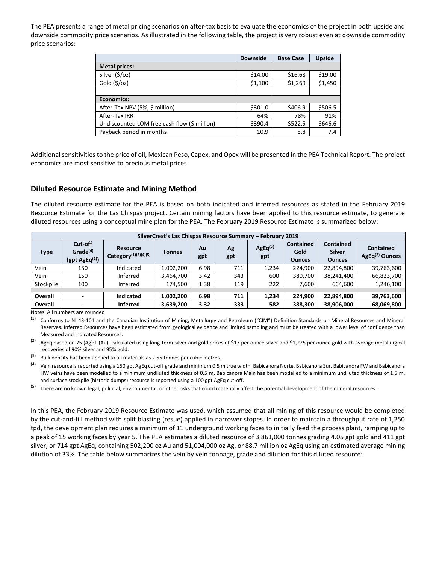The PEA presents a range of metal pricing scenarios on after-tax basis to evaluate the economics of the project in both upside and downside commodity price scenarios. As illustrated in the following table, the project is very robust even at downside commodity price scenarios:

|                                              | <b>Downside</b> | <b>Base Case</b> | <b>Upside</b> |
|----------------------------------------------|-----------------|------------------|---------------|
| <b>Metal prices:</b>                         |                 |                  |               |
| Silver (\$/oz)                               | \$14.00         | \$16.68          | \$19.00       |
| Gold $(\frac{5}{2})$                         | \$1,100         | \$1,269          | \$1,450       |
|                                              |                 |                  |               |
| Economics:                                   |                 |                  |               |
| After-Tax NPV (5%, \$ million)               | \$301.0         | \$406.9          | \$506.5       |
| After-Tax IRR                                | 64%             | 78%              | 91%           |
| Undiscounted LOM free cash flow (\$ million) | \$390.4         | \$522.5          | \$646.6       |
| Payback period in months                     | 10.9            | 8.8              | 7.4           |

Additional sensitivities to the price of oil, Mexican Peso, Capex, and Opex will be presented in the PEA Technical Report. The project economics are most sensitive to precious metal prices.

#### **Diluted Resource Estimate and Mining Method**

The diluted resource estimate for the PEA is based on both indicated and inferred resources as stated in the February 2019 Resource Estimate for the Las Chispas project. Certain mining factors have been applied to this resource estimate, to generate diluted resources using a conceptual mine plan for the PEA. The February 2019 Resource Estimate is summarized below:

| SilverCrest's Las Chispas Resource Summary - February 2019 |                                                                 |                                                      |           |           |           |                |                                           |                                                    |                                                |  |
|------------------------------------------------------------|-----------------------------------------------------------------|------------------------------------------------------|-----------|-----------|-----------|----------------|-------------------------------------------|----------------------------------------------------|------------------------------------------------|--|
| <b>Type</b>                                                | Cut-off<br>Grade <sup>(4)</sup><br>$(gpt \, \text{AgEq}^{(2)})$ | Resource<br><b>Category</b> <sup>(1)</sup> (3)(4)(5) | Tonnes    | Au<br>gpt | Ag<br>gpt | AgEq(2)<br>gpt | <b>Contained</b><br>Gold<br><b>Ounces</b> | <b>Contained</b><br><b>Silver</b><br><b>Ounces</b> | <b>Contained</b><br>AgEq <sup>(2)</sup> Ounces |  |
| Vein                                                       | 150                                                             | Indicated                                            | 1,002,200 | 6.98      | 711       | 1,234          | 224.900                                   | 22,894,800                                         | 39,763,600                                     |  |
| Vein                                                       | 150                                                             | Inferred                                             | 3,464,700 | 3.42      | 343       | 600            | 380.700                                   | 38,241,400                                         | 66,823,700                                     |  |
| Stockpile                                                  | 100                                                             | Inferred                                             | 174,500   | 1.38      | 119       | 222            | 7,600                                     | 664,600                                            | 1,246,100                                      |  |
|                                                            |                                                                 |                                                      |           |           |           |                |                                           |                                                    |                                                |  |
| Overall                                                    | $\overline{\phantom{0}}$                                        | <b>Indicated</b>                                     | 1.002.200 | 6.98      | 711       | 1,234          | 224.900                                   | 22,894,800                                         | 39,763,600                                     |  |
| <b>Overall</b>                                             | -                                                               | <b>Inferred</b>                                      | 3,639,200 | 3.32      | 333       | 582            | 388,300                                   | 38,906,000                                         | 68,069,800                                     |  |

Notes: All numbers are rounded

<sup>(1)</sup> Conforms to NI 43-101 and the Canadian Institution of Mining, Metallurgy and Petroleum ("CIM") Definition Standards on Mineral Resources and Mineral Reserves. Inferred Resources have been estimated from geological evidence and limited sampling and must be treated with a lower level of confidence than Measured and Indicated Resources.

 $(2)$  AgEq based on 75 (Ag):1 (Au), calculated using long-term silver and gold prices of \$17 per ounce silver and \$1,225 per ounce gold with average metallurgical recoveries of 90% silver and 95% gold.

 $(3)$  Bulk density has been applied to all materials as 2.55 tonnes per cubic metres.

 $^{(4)}$  Vein resource is reported using a 150 gpt AgEq cut-off grade and minimum 0.5 m true width, Babicanora Norte, Babicanora Sur, Babicanora FW and Babicanora HW veins have been modelled to a minimum undiluted thickness of 0.5 m, Babicanora Main has been modelled to a minimum undiluted thickness of 1.5 m, and surface stockpile (historic dumps) resource is reported using a 100 gpt AgEq cut-off.

 $^{(5)}$  There are no known legal, political, environmental, or other risks that could materially affect the potential development of the mineral resources.

In this PEA, the February 2019 Resource Estimate was used, which assumed that all mining of this resource would be completed by the cut-and-fill method with split blasting (resue) applied in narrower stopes. In order to maintain a throughput rate of 1,250 tpd, the development plan requires a minimum of 11 underground working faces to initially feed the process plant, ramping up to a peak of 15 working faces by year 5. The PEA estimates a diluted resource of 3,861,000 tonnes grading 4.05 gpt gold and 411 gpt silver, or 714 gpt AgEq, containing 502,200 oz Au and 51,004,000 oz Ag, or 88.7 million oz AgEq using an estimated average mining dilution of 33%. The table below summarizes the vein by vein tonnage, grade and dilution for this diluted resource: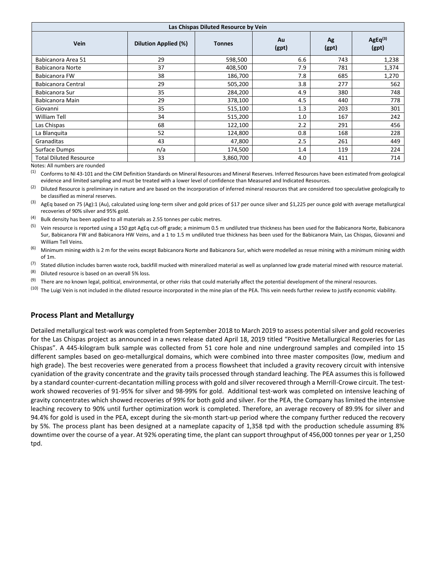| Las Chispas Diluted Resource by Vein |                             |                              |     |             |                  |  |  |  |  |
|--------------------------------------|-----------------------------|------------------------------|-----|-------------|------------------|--|--|--|--|
| <b>Vein</b>                          | <b>Dilution Applied (%)</b> | Au<br><b>Tonnes</b><br>(gpt) |     | Ag<br>(gpt) | AgEq(3)<br>(gpt) |  |  |  |  |
| Babicanora Area 51                   | 29                          | 598,500                      | 6.6 | 743         | 1,238            |  |  |  |  |
| Babicanora Norte                     | 37                          | 408,500                      | 7.9 | 781         | 1,374            |  |  |  |  |
| Babicanora FW                        | 38                          | 186,700                      | 7.8 | 685         | 1,270            |  |  |  |  |
| Babicanora Central                   | 29                          | 505,200                      | 3.8 | 277         | 562              |  |  |  |  |
| Babicanora Sur                       | 35                          | 284,200                      | 4.9 | 380         | 748              |  |  |  |  |
| Babicanora Main                      | 29                          | 378,100                      | 4.5 | 440         | 778              |  |  |  |  |
| Giovanni                             | 35                          | 515,100                      | 1.3 | 203         | 301              |  |  |  |  |
| William Tell                         | 34                          | 515,200                      | 1.0 | 167         | 242              |  |  |  |  |
| Las Chispas                          | 68                          | 122,100                      | 2.2 | 291         | 456              |  |  |  |  |
| La Blanquita                         | 52                          | 124,800                      | 0.8 | 168         | 228              |  |  |  |  |
| Granaditas                           | 43                          | 47,800                       | 2.5 | 261         | 449              |  |  |  |  |
| Surface Dumps                        | n/a                         | 174,500                      | 1.4 | 119         | 224              |  |  |  |  |
| <b>Total Diluted Resource</b>        | 33                          | 3,860,700                    | 4.0 | 411         | 714              |  |  |  |  |

Notes: All numbers are rounded

<sup>(1)</sup> Conforms to NI 43-101 and the CIM Definition Standards on Mineral Resources and Mineral Reserves. Inferred Resources have been estimated from geological evidence and limited sampling and must be treated with a lower level of confidence than Measured and Indicated Resources.

 $(2)$  Diluted Resource is preliminary in nature and are based on the incorporation of inferred mineral resources that are considered too speculative geologically to be classified as mineral reserves.

<sup>(3)</sup> AgEq based on 75 (Ag):1 (Au), calculated using long-term silver and gold prices of \$17 per ounce silver and \$1,225 per ounce gold with average metallurgical recoveries of 90% silver and 95% gold.

 $(4)$  Bulk density has been applied to all materials as 2.55 tonnes per cubic metres.

<sup>(5)</sup> Vein resource is reported using a 150 gpt AgEq cut-off grade; a minimum 0.5 m undiluted true thickness has been used for the Babicanora Norte, Babicanora Sur, Babicanora FW and Babicanora HW Veins, and a 1 to 1.5 m undiluted true thickness has been used for the Babicanora Main, Las Chispas, Giovanni and William Tell Veins.

 $(6)$  Minimum mining width is 2 m for the veins except Babicanora Norte and Babicanora Sur, which were modelled as resue mining with a minimum mining width of 1m.

 $^{(7)}$  Stated dilution includes barren waste rock, backfill mucked with mineralized material as well as unplanned low grade material mined with resource material.

 $(8)$  Diluted resource is based on an overall 5% loss.

<sup>(9)</sup> There are no known legal, political, environmental, or other risks that could materially affect the potential development of the mineral resources.

 $(10)$  The Luigi Vein is not included in the diluted resource incorporated in the mine plan of the PEA. This vein needs further review to justify economic viability.

#### **Process Plant and Metallurgy**

Detailed metallurgical test-work was completed from September 2018 to March 2019 to assess potential silver and gold recoveries for the Las Chispas project as announced in a news release dated April 18, 2019 titled "Positive Metallurgical Recoveries for Las Chispas". A 445-kilogram bulk sample was collected from 51 core hole and nine underground samples and compiled into 15 different samples based on geo-metallurgical domains, which were combined into three master composites (low, medium and high grade). The best recoveries were generated from a process flowsheet that included a gravity recovery circuit with intensive cyanidation of the gravity concentrate and the gravity tails processed through standard leaching. The PEA assumes this is followed by a standard counter-current-decantation milling process with gold and silver recovered through a Merrill-Crowe circuit. The testwork showed recoveries of 91-95% for silver and 98-99% for gold. Additional test-work was completed on intensive leaching of gravity concentrates which showed recoveries of 99% for both gold and silver. For the PEA, the Company has limited the intensive leaching recovery to 90% until further optimization work is completed. Therefore, an average recovery of 89.9% for silver and 94.4% for gold is used in the PEA, except during the six-month start-up period where the company further reduced the recovery by 5%. The process plant has been designed at a nameplate capacity of 1,358 tpd with the production schedule assuming 8% downtime over the course of a year. At 92% operating time, the plant can support throughput of 456,000 tonnes per year or 1,250 tpd.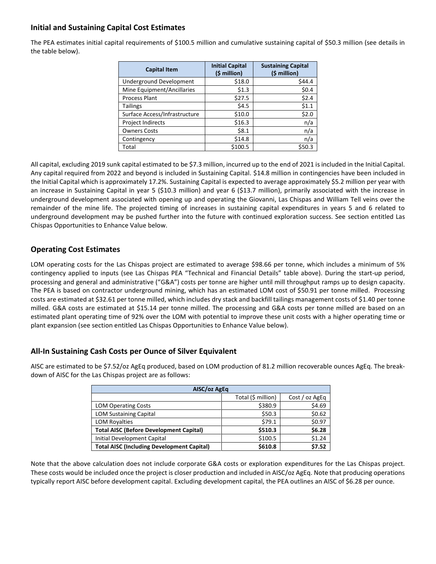## **Initial and Sustaining Capital Cost Estimates**

The PEA estimates initial capital requirements of \$100.5 million and cumulative sustaining capital of \$50.3 million (see details in the table below).

| <b>Capital Item</b>            | <b>Initial Capital</b><br>(\$ million) | <b>Sustaining Capital</b><br>(\$ million) |
|--------------------------------|----------------------------------------|-------------------------------------------|
| <b>Underground Development</b> | \$18.0                                 | \$44.4                                    |
| Mine Equipment/Ancillaries     | \$1.3                                  | \$0.4\$                                   |
| <b>Process Plant</b>           | \$27.5                                 | \$2.4                                     |
| <b>Tailings</b>                | \$4.5                                  | \$1.1                                     |
| Surface Access/Infrastructure  | \$10.0                                 | \$2.0                                     |
| Project Indirects              | \$16.3                                 | n/a                                       |
| <b>Owners Costs</b>            | \$8.1                                  | n/a                                       |
| Contingency                    | \$14.8                                 | n/a                                       |
| Total                          | \$100.5                                | \$50.3                                    |

All capital, excluding 2019 sunk capital estimated to be \$7.3 million, incurred up to the end of 2021 is included in the Initial Capital. Any capital required from 2022 and beyond is included in Sustaining Capital. \$14.8 million in contingencies have been included in the Initial Capital which is approximately 17.2%. Sustaining Capital is expected to average approximately \$5.2 million per year with an increase in Sustaining Capital in year 5 (\$10.3 million) and year 6 (\$13.7 million), primarily associated with the increase in underground development associated with opening up and operating the Giovanni, Las Chispas and William Tell veins over the remainder of the mine life. The projected timing of increases in sustaining capital expenditures in years 5 and 6 related to underground development may be pushed further into the future with continued exploration success. See section entitled Las Chispas Opportunities to Enhance Value below.

## **Operating Cost Estimates**

LOM operating costs for the Las Chispas project are estimated to average \$98.66 per tonne, which includes a minimum of 5% contingency applied to inputs (see Las Chispas PEA "Technical and Financial Details" table above). During the start-up period, processing and general and administrative ("G&A") costs per tonne are higher until mill throughput ramps up to design capacity. The PEA is based on contractor underground mining, which has an estimated LOM cost of \$50.91 per tonne milled. Processing costs are estimated at \$32.61 per tonne milled, which includes dry stack and backfill tailings management costs of \$1.40 per tonne milled. G&A costs are estimated at \$15.14 per tonne milled. The processing and G&A costs per tonne milled are based on an estimated plant operating time of 92% over the LOM with potential to improve these unit costs with a higher operating time or plant expansion (see section entitled Las Chispas Opportunities to Enhance Value below).

## **All-In Sustaining Cash Costs per Ounce of Silver Equivalent**

AISC are estimated to be \$7.52/oz AgEq produced, based on LOM production of 81.2 million recoverable ounces AgEq. The breakdown of AISC for the Las Chispas project are as follows:

| AISC/oz AgEq                                      |                    |                |  |  |  |  |  |  |
|---------------------------------------------------|--------------------|----------------|--|--|--|--|--|--|
|                                                   | Total (\$ million) | Cost / oz AgEq |  |  |  |  |  |  |
| <b>LOM Operating Costs</b>                        | \$380.9            | \$4.69         |  |  |  |  |  |  |
| <b>LOM Sustaining Capital</b>                     | \$50.3             | \$0.62         |  |  |  |  |  |  |
| <b>LOM Royalties</b>                              | \$79.1             | \$0.97         |  |  |  |  |  |  |
| <b>Total AISC (Before Development Capital)</b>    | \$510.3            | \$6.28         |  |  |  |  |  |  |
| Initial Development Capital                       | \$100.5            | \$1.24         |  |  |  |  |  |  |
| <b>Total AISC (Including Development Capital)</b> | \$610.8            | \$7.52         |  |  |  |  |  |  |

Note that the above calculation does not include corporate G&A costs or exploration expenditures for the Las Chispas project. These costs would be included once the project is closer production and included in AISC/oz AgEq. Note that producing operations typically report AISC before development capital. Excluding development capital, the PEA outlines an AISC of \$6.28 per ounce.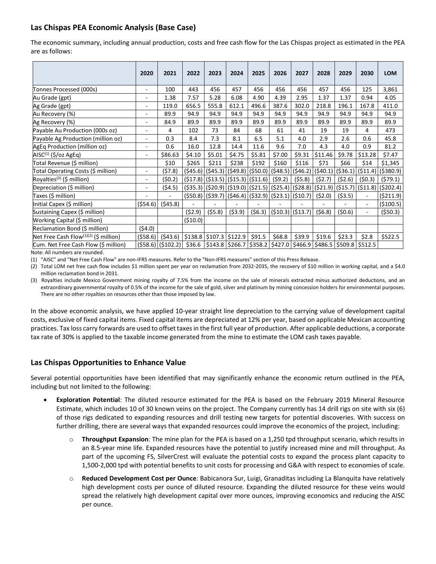## **Las Chispas PEA Economic Analysis (Base Case)**

The economic summary, including annual production, costs and free cash flow for the Las Chispas project as estimated in the PEA are as follows:

|                                                   | 2020                     | 2021                 | 2022    | 2023                                         | 2024   | 2025                                                | 2026   | 2027                                                    | 2028                                | 2029     | 2030                     | <b>LOM</b>                                                                                                   |
|---------------------------------------------------|--------------------------|----------------------|---------|----------------------------------------------|--------|-----------------------------------------------------|--------|---------------------------------------------------------|-------------------------------------|----------|--------------------------|--------------------------------------------------------------------------------------------------------------|
| Tonnes Processed (000s)                           | ٠                        | 100                  | 443     | 456                                          | 457    | 456                                                 | 456    | 456                                                     | 457                                 | 456      | 125                      | 3,861                                                                                                        |
| Au Grade (gpt)                                    | ۰.                       | 1.38                 | 7.57    | 5.28                                         | 6.08   | 4.90                                                | 4.39   | 2.95                                                    | 1.37                                | 1.37     | 0.94                     | 4.05                                                                                                         |
| Ag Grade (gpt)                                    | ۰                        | 119.0                | 656.5   | 555.8                                        | 612.1  | 496.6                                               | 387.6  | 302.0                                                   | 218.8                               | 196.1    | 167.8                    | 411.0                                                                                                        |
| Au Recovery (%)                                   | ۰                        | 89.9                 | 94.9    | 94.9                                         | 94.9   | 94.9                                                | 94.9   | 94.9                                                    | 94.9                                | 94.9     | 94.9                     | 94.9                                                                                                         |
| Ag Recovery (%)                                   | ۰                        | 84.9                 | 89.9    | 89.9                                         | 89.9   | 89.9                                                | 89.9   | 89.9                                                    | 89.9                                | 89.9     | 89.9                     | 89.9                                                                                                         |
| Payable Au Production (000s oz)                   | $\overline{\phantom{a}}$ | 4                    | 102     | 73                                           | 84     | 68                                                  | 61     | 41                                                      | 19                                  | 19       | 4                        | 473                                                                                                          |
| Payable Ag Production (million oz)                | ٠                        | 0.3                  | 8.4     | 7.3                                          | 8.1    | 6.5                                                 | 5.1    | 4.0                                                     | 2.9                                 | 2.6      | 0.6                      | 45.8                                                                                                         |
| AgEq Production (million oz)                      | $\overline{\phantom{a}}$ | 0.6                  | 16.0    | 12.8                                         | 14.4   | 11.6                                                | 9.6    | 7.0                                                     | 4.3                                 | 4.0      | 0.9                      | 81.2                                                                                                         |
| AISC <sup>(1)</sup> (\$/oz AgEq)                  | $\overline{\phantom{a}}$ | \$86.63              | \$4.10  | \$5.01                                       | \$4.75 | \$5.81                                              | \$7.00 | \$9.31                                                  | \$11.46                             | \$9.78   | \$13.28                  | \$7.47                                                                                                       |
| Total Revenue (\$ million)                        |                          | \$10                 | \$265   | \$211                                        | \$238  | \$192                                               | \$160  | \$116                                                   | \$71                                | \$66     | \$14                     | \$1,345                                                                                                      |
| Total Operating Costs (\$ million)                | ٠                        | (57.8)               |         |                                              |        |                                                     |        |                                                         |                                     |          |                          | (\$45.6)   (\$45.3)   (\$49.8)   (\$50.0)   (\$48.5)   (\$46.2)   (\$40.1)   (\$36.1)   (\$11.4)   (\$380.9) |
| Royalties <sup>(3)</sup> (\$ million)             | ٠                        | (50.2)               |         | $(517.8)$ (\$13.5) (\$15.3) (\$11.6) (\$9.2) |        |                                                     |        | (55.8)                                                  | (52.7)                              | (52.6)   | (50.3)                   | (579.1)                                                                                                      |
| Depreciation (\$ million)                         |                          | (54.5)               |         |                                              |        |                                                     |        |                                                         |                                     |          |                          | (\$35.3) $ (520.9) (519.0) (521.5) (525.4) (528.8) (521.9) (515.7) (511.8) (5202.4) $                        |
| Taxes (\$ million)                                |                          |                      |         |                                              |        |                                                     |        | $(550.8)$ (\$39.7) $(546.4)$ (\$32.9) (\$23.1) (\$10.7) | (52.0)                              | ( \$3.5) |                          | (5211.9)                                                                                                     |
| Initial Capex (\$ million)                        | (554.6)                  | (545.8)              |         |                                              |        |                                                     |        |                                                         |                                     |          | $\overline{\phantom{a}}$ | ( \$100.5)                                                                                                   |
| Sustaining Capex (\$ million)                     |                          |                      | (52.9)  | $($ \$5.8)                                   | (53.9) | (56.3)                                              |        | $(510.3)$ (\$13.7)                                      | (56.8)                              | (50.6)   |                          | (550.3)                                                                                                      |
| Working Capital (\$ million)                      |                          |                      | (510.0) |                                              |        |                                                     |        |                                                         |                                     |          |                          |                                                                                                              |
| Reclamation Bond (\$ million)                     | (54.0)                   |                      |         |                                              |        |                                                     |        |                                                         |                                     |          |                          |                                                                                                              |
| Net Free Cash Flow <sup>(1)(2)</sup> (\$ million) | (558.6)                  | (543.6)              |         | $$138.8$ $$107.3$ $$122.9$                   |        | \$91.5                                              | \$68.8 | \$39.9                                                  | \$19.6                              | \$23.3   | \$2.8                    | \$522.5                                                                                                      |
| Cum. Net Free Cash Flow (\$ million)              |                          | $(558.6)$ $(5102.2)$ | \$36.6  |                                              |        | $\frac{1}{2}$ \$143.8   \$266.7   \$358.2   \$427.0 |        |                                                         | $$466.9$ $$486.5$ $$509.8$ $$512.5$ |          |                          |                                                                                                              |

Note: All numbers are rounded.

(1) "AISC" and "Net Free Cash Flow" are non-IFRS measures. Refer to the "Non-IFRS measures" section of this Press Release.

(2) Total LOM net free cash flow includes \$1 million spent per year on reclamation from 2032-2035, the recovery of \$10 million in working capital, and a \$4.0 million reclamation bond in 2031.

(3) Royalties include Mexico Government mining royalty of 7.5% from the income on the sale of minerals extracted minus authorized deductions, and an extraordinary governmental royalty of 0.5% of the income for the sale of gold, silver and platinum by mining concession holders for environmental purposes. There are no other royalties on resources other than those imposed by law.

In the above economic analysis, we have applied 10-year straight line depreciation to the carrying value of development capital costs, exclusive of fixed capital items. Fixed capital items are depreciated at 12% per year, based on applicable Mexican accounting practices. Tax loss carry forwards are used to offset taxes in the first full year of production. After applicable deductions, a corporate tax rate of 30% is applied to the taxable income generated from the mine to estimate the LOM cash taxes payable.

## **Las Chispas Opportunities to Enhance Value**

Several potential opportunities have been identified that may significantly enhance the economic return outlined in the PEA, including but not limited to the following:

- **Exploration Potential**: The diluted resource estimated for the PEA is based on the February 2019 Mineral Resource Estimate, which includes 10 of 30 known veins on the project. The Company currently has 14 drill rigs on site with six (6) of those rigs dedicated to expanding resources and drill testing new targets for potential discoveries. With success on further drilling, there are several ways that expanded resources could improve the economics of the project, including:
	- **Throughput Expansion**: The mine plan for the PEA is based on a 1,250 tpd throughput scenario, which results in an 8.5-year mine life. Expanded resources have the potential to justify increased mine and mill throughput. As part of the upcoming FS, SilverCrest will evaluate the potential costs to expand the process plant capacity to 1,500-2,000 tpd with potential benefits to unit costs for processing and G&A with respect to economies of scale.
	- o **Reduced Development Cost per Ounce**: Babicanora Sur, Luigi, Granaditas including La Blanquita have relatively high development costs per ounce of diluted resource. Expanding the diluted resource for these veins would spread the relatively high development capital over more ounces, improving economics and reducing the AISC per ounce.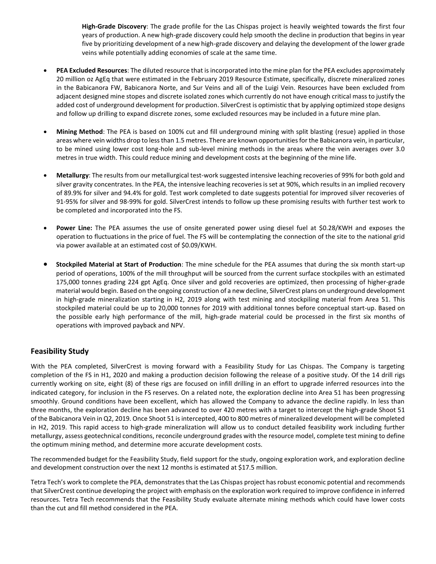**High-Grade Discovery**: The grade profile for the Las Chispas project is heavily weighted towards the first four years of production. A new high-grade discovery could help smooth the decline in production that begins in year five by prioritizing development of a new high-grade discovery and delaying the development of the lower grade veins while potentially adding economies of scale at the same time.

- **PEA Excluded Resources**: The diluted resource that is incorporated into the mine plan for the PEA excludes approximately 20 million oz AgEq that were estimated in the February 2019 Resource Estimate, specifically, discrete mineralized zones in the Babicanora FW, Babicanora Norte, and Sur Veins and all of the Luigi Vein. Resources have been excluded from adjacent designed mine stopes and discrete isolated zones which currently do not have enough critical mass to justify the added cost of underground development for production. SilverCrest is optimistic that by applying optimized stope designs and follow up drilling to expand discrete zones, some excluded resources may be included in a future mine plan.
- **Mining Method**: The PEA is based on 100% cut and fill underground mining with split blasting (resue) applied in those areas where vein widths drop to less than 1.5 metres. There are known opportunities for the Babicanora vein, in particular, to be mined using lower cost long-hole and sub-level mining methods in the areas where the vein averages over 3.0 metres in true width. This could reduce mining and development costs at the beginning of the mine life.
- **Metallurgy**: The results from our metallurgical test-work suggested intensive leaching recoveries of 99% for both gold and silver gravity concentrates. In the PEA, the intensive leaching recoveries is set at 90%, which results in an implied recovery of 89.9% for silver and 94.4% for gold. Test work completed to date suggests potential for improved silver recoveries of 91-95% for silver and 98-99% for gold. SilverCrest intends to follow up these promising results with further test work to be completed and incorporated into the FS.
- **Power Line:** The PEA assumes the use of onsite generated power using diesel fuel at \$0.28/KWH and exposes the operation to fluctuations in the price of fuel. The FS will be contemplating the connection of the site to the national grid via power available at an estimated cost of \$0.09/KWH.
- **Stockpiled Material at Start of Production**: The mine schedule for the PEA assumes that during the six month start-up period of operations, 100% of the mill throughput will be sourced from the current surface stockpiles with an estimated 175,000 tonnes grading 224 gpt AgEq. Once silver and gold recoveries are optimized, then processing of higher-grade material would begin. Based on the ongoing construction of a new decline, SilverCrest plans on underground development in high-grade mineralization starting in H2, 2019 along with test mining and stockpiling material from Area 51. This stockpiled material could be up to 20,000 tonnes for 2019 with additional tonnes before conceptual start-up. Based on the possible early high performance of the mill, high-grade material could be processed in the first six months of operations with improved payback and NPV.

## **Feasibility Study**

With the PEA completed, SilverCrest is moving forward with a Feasibility Study for Las Chispas. The Company is targeting completion of the FS in H1, 2020 and making a production decision following the release of a positive study. Of the 14 drill rigs currently working on site, eight (8) of these rigs are focused on infill drilling in an effort to upgrade inferred resources into the indicated category, for inclusion in the FS reserves. On a related note, the exploration decline into Area 51 has been progressing smoothly. Ground conditions have been excellent, which has allowed the Company to advance the decline rapidly. In less than three months, the exploration decline has been advanced to over 420 metres with a target to intercept the high-grade Shoot 51 of the Babicanora Vein in Q2, 2019. Once Shoot 51 is intercepted, 400 to 800 metres of mineralized development will be completed in H2, 2019. This rapid access to high-grade mineralization will allow us to conduct detailed feasibility work including further metallurgy, assess geotechnical conditions, reconcile underground grades with the resource model, complete test mining to define the optimum mining method, and determine more accurate development costs.

The recommended budget for the Feasibility Study, field support for the study, ongoing exploration work, and exploration decline and development construction over the next 12 months is estimated at \$17.5 million.

Tetra Tech's work to complete the PEA, demonstrates that the Las Chispas project has robust economic potential and recommends that SilverCrest continue developing the project with emphasis on the exploration work required to improve confidence in inferred resources. Tetra Tech recommends that the Feasibility Study evaluate alternate mining methods which could have lower costs than the cut and fill method considered in the PEA.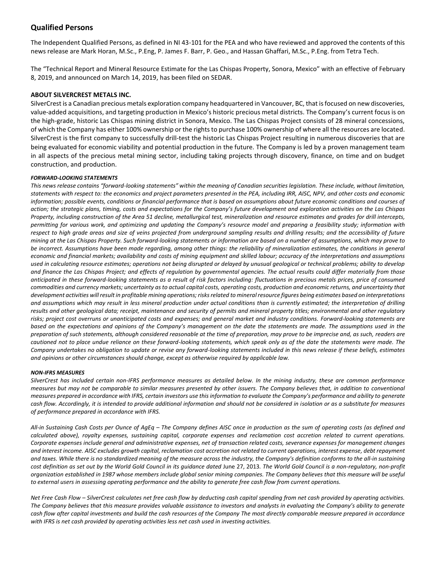### **Qualified Persons**

The Independent Qualified Persons, as defined in NI 43-101 for the PEA and who have reviewed and approved the contents of this news release are Mark Horan, M.Sc., P.Eng, P. James F. Barr, P. Geo., and Hassan Ghaffari, M.Sc., P.Eng. from Tetra Tech.

The "Technical Report and Mineral Resource Estimate for the Las Chispas Property, Sonora, Mexico" with an effective of February 8, 2019, and announced on March 14, 2019, has been filed on SEDAR.

#### **ABOUT SILVERCREST METALS INC.**

SilverCrest is a Canadian precious metals exploration company headquartered in Vancouver, BC, that is focused on new discoveries, value-added acquisitions, and targeting production in Mexico's historic precious metal districts. The Company's current focus is on the high-grade, historic Las Chispas mining district in Sonora, Mexico. The Las Chispas Project consists of 28 mineral concessions, of which the Company has either 100% ownership or the rights to purchase 100% ownership of where all the resources are located. SilverCrest is the first company to successfully drill-test the historic Las Chispas Project resulting in numerous discoveries that are being evaluated for economic viability and potential production in the future. The Company is led by a proven management team in all aspects of the precious metal mining sector, including taking projects through discovery, finance, on time and on budget construction, and production.

#### *FORWARD-LOOKING STATEMENTS*

*This news release contains "forward-looking statements" within the meaning of Canadian securities legislation. These include, without limitation, statements with respect to: the economics and project parameters presented in the PEA, including IRR, AISC, NPV, and other costs and economic information; possible events, conditions or financial performance that is based on assumptions about future economic conditions and courses of*  action; the strategic plans, timing, costs and expectations for the Company's future development and exploration activities on the Las Chispas *Property, including construction of the Area 51 decline, metallurgical test, mineralization and resource estimates and grades for drill intercepts, permitting for various work, and optimizing and updating the Company's resource model and preparing a feasibility study; information with*  respect to high grade areas and size of veins projected from underground sampling results and drilling results; and the accessibility of future *mining at the Las Chispas Property. Such forward-looking statements or information are based on a number of assumptions, which may prove to be incorrect. Assumptions have been made regarding, among other things: the reliability of mineralization estimates, the conditions in general economic and financial markets; availability and costs of mining equipment and skilled labour; accuracy of the interpretations and assumptions used in calculating resource estimates; operations not being disrupted or delayed by unusual geological or technical problems; ability to develop and finance the Las Chispas Project; and effects of regulation by governmental agencies. The actual results could differ materially from those anticipated in these forward-looking statements as a result of risk factors including: fluctuations in precious metals prices, price of consumed commodities and currency markets; uncertainty as to actual capital costs, operating costs, production and economic returns, and uncertainty that development activities will result in profitable mining operations; risks related to mineral resource figures being estimates based on interpretations and assumptions which may result in less mineral production under actual conditions than is currently estimated; the interpretation of drilling results and other geological data; receipt, maintenance and security of permits and mineral property titles; environmental and other regulatory risks; project cost overruns or unanticipated costs and expenses; and general market and industry conditions. Forward-looking statements are*  based on the expectations and opinions of the Company's management on the date the statements are made. The assumptions used in the *preparation of such statements, although considered reasonable at the time of preparation, may prove to be imprecise and, as such, readers are cautioned not to place undue reliance on these forward-looking statements, which speak only as of the date the statements were made. The Company undertakes no obligation to update or revise any forward-looking statements included in this news release if these beliefs, estimates and opinions or other circumstances should change, except as otherwise required by applicable law.*

#### *NON-IFRS MEASURES*

*SilverCrest has included certain non-IFRS performance measures as detailed below. In the mining industry, these are common performance measures but may not be comparable to similar measures presented by other issuers. The Company believes that, in addition to conventional measures prepared in accordance with IFRS, certain investors use this information to evaluate the Company's performance and ability to generate cash flow. Accordingly, it is intended to provide additional information and should not be considered in isolation or as a substitute for measures of performance prepared in accordance with IFRS.*

*All-in Sustaining Cash Costs per Ounce of AgEq – The Company defines AISC once in production as the sum of operating costs (as defined and calculated above), royalty expenses, sustaining capital, corporate expenses and reclamation cost accretion related to current operations. Corporate expenses include general and administrative expenses, net of transaction related costs, severance expenses for management changes and interest income. AISC excludes growth capital, reclamation cost accretion not related to current operations, interest expense, debt repayment and taxes. While there is no standardized meaning of the measure across the industry, the Company's definition conforms to the all-in sustaining cost definition as set out by the World Gold Council in its guidance dated* June 27, 2013*. The World Gold Council is a non-regulatory, non-profit organization established in 1987 whose members include global senior mining companies. The Company believes that this measure will be useful to external users in assessing operating performance and the ability to generate free cash flow from current operations.*

*Net Free Cash Flow – SilverCrest calculates net free cash flow by deducting cash capital spending from net cash provided by operating activities. The Company believes that this measure provides valuable assistance to investors and analysts in evaluating the Company's ability to generate cash flow after capital investments and build the cash resources of the Company The most directly comparable measure prepared in accordance with IFRS is net cash provided by operating activities less net cash used in investing activities.*